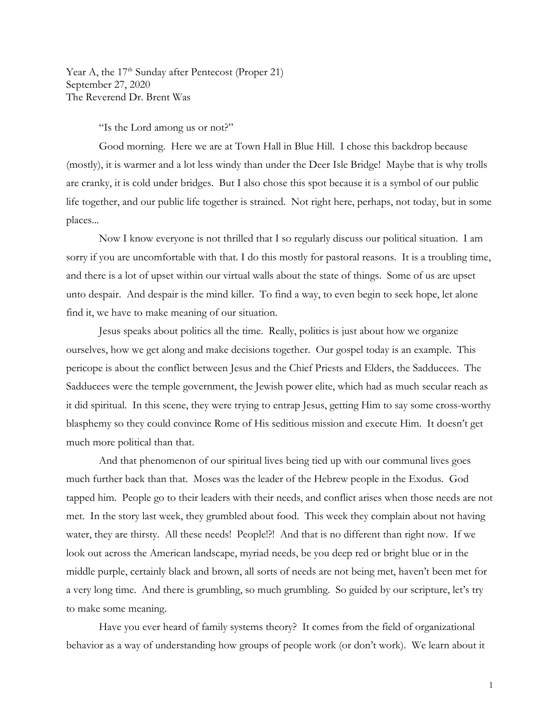Year A, the 17<sup>th</sup> Sunday after Pentecost (Proper 21) September 27, 2020 The Reverend Dr. Brent Was

"Is the Lord among us or not?"

Good morning. Here we are at Town Hall in Blue Hill. I chose this backdrop because (mostly), it is warmer and a lot less windy than under the Deer Isle Bridge! Maybe that is why trolls are cranky, it is cold under bridges. But I also chose this spot because it is a symbol of our public life together, and our public life together is strained. Not right here, perhaps, not today, but in some places...

Now I know everyone is not thrilled that I so regularly discuss our political situation. I am sorry if you are uncomfortable with that. I do this mostly for pastoral reasons. It is a troubling time, and there is a lot of upset within our virtual walls about the state of things. Some of us are upset unto despair. And despair is the mind killer. To find a way, to even begin to seek hope, let alone find it, we have to make meaning of our situation.

Jesus speaks about politics all the time. Really, politics is just about how we organize ourselves, how we get along and make decisions together. Our gospel today is an example. This pericope is about the conflict between Jesus and the Chief Priests and Elders, the Sadducees. The Sadducees were the temple government, the Jewish power elite, which had as much secular reach as it did spiritual. In this scene, they were trying to entrap Jesus, getting Him to say some cross-worthy blasphemy so they could convince Rome of His seditious mission and execute Him. It doesn't get much more political than that.

And that phenomenon of our spiritual lives being tied up with our communal lives goes much further back than that. Moses was the leader of the Hebrew people in the Exodus. God tapped him. People go to their leaders with their needs, and conflict arises when those needs are not met. In the story last week, they grumbled about food. This week they complain about not having water, they are thirsty. All these needs! People!?! And that is no different than right now. If we look out across the American landscape, myriad needs, be you deep red or bright blue or in the middle purple, certainly black and brown, all sorts of needs are not being met, haven't been met for a very long time. And there is grumbling, so much grumbling. So guided by our scripture, let's try to make some meaning.

Have you ever heard of family systems theory? It comes from the field of organizational behavior as a way of understanding how groups of people work (or don't work). We learn about it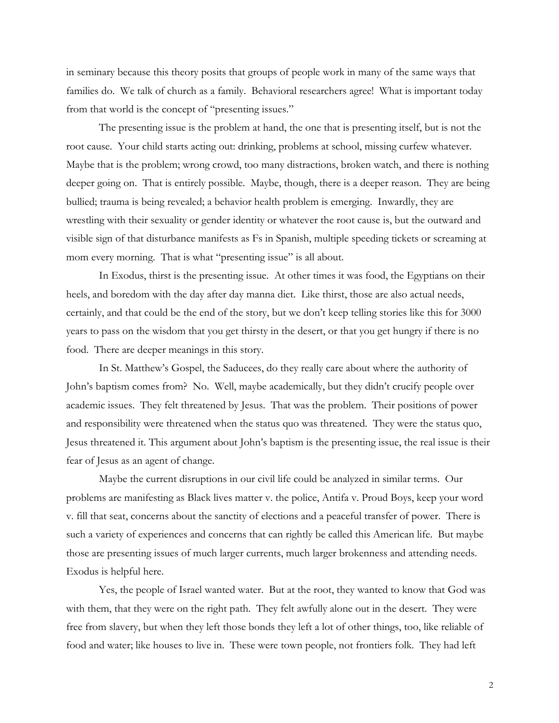in seminary because this theory posits that groups of people work in many of the same ways that families do. We talk of church as a family. Behavioral researchers agree! What is important today from that world is the concept of "presenting issues."

The presenting issue is the problem at hand, the one that is presenting itself, but is not the root cause. Your child starts acting out: drinking, problems at school, missing curfew whatever. Maybe that is the problem; wrong crowd, too many distractions, broken watch, and there is nothing deeper going on. That is entirely possible. Maybe, though, there is a deeper reason. They are being bullied; trauma is being revealed; a behavior health problem is emerging. Inwardly, they are wrestling with their sexuality or gender identity or whatever the root cause is, but the outward and visible sign of that disturbance manifests as Fs in Spanish, multiple speeding tickets or screaming at mom every morning. That is what "presenting issue" is all about.

In Exodus, thirst is the presenting issue. At other times it was food, the Egyptians on their heels, and boredom with the day after day manna diet. Like thirst, those are also actual needs, certainly, and that could be the end of the story, but we don't keep telling stories like this for 3000 years to pass on the wisdom that you get thirsty in the desert, or that you get hungry if there is no food. There are deeper meanings in this story.

In St. Matthew's Gospel, the Saducees, do they really care about where the authority of John's baptism comes from? No. Well, maybe academically, but they didn't crucify people over academic issues. They felt threatened by Jesus. That was the problem. Their positions of power and responsibility were threatened when the status quo was threatened. They were the status quo, Jesus threatened it. This argument about John's baptism is the presenting issue, the real issue is their fear of Jesus as an agent of change.

Maybe the current disruptions in our civil life could be analyzed in similar terms. Our problems are manifesting as Black lives matter v. the police, Antifa v. Proud Boys, keep your word v. fill that seat, concerns about the sanctity of elections and a peaceful transfer of power. There is such a variety of experiences and concerns that can rightly be called this American life. But maybe those are presenting issues of much larger currents, much larger brokenness and attending needs. Exodus is helpful here.

Yes, the people of Israel wanted water. But at the root, they wanted to know that God was with them, that they were on the right path. They felt awfully alone out in the desert. They were free from slavery, but when they left those bonds they left a lot of other things, too, like reliable of food and water; like houses to live in. These were town people, not frontiers folk. They had left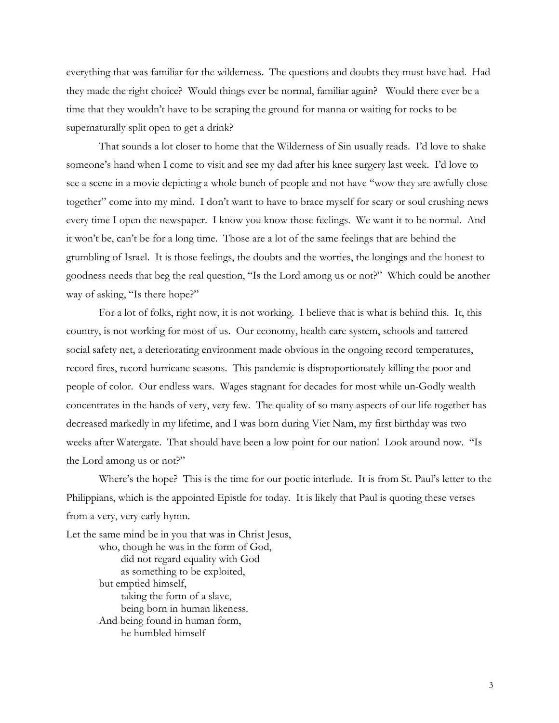everything that was familiar for the wilderness. The questions and doubts they must have had. Had they made the right choice? Would things ever be normal, familiar again? Would there ever be a time that they wouldn't have to be scraping the ground for manna or waiting for rocks to be supernaturally split open to get a drink?

That sounds a lot closer to home that the Wilderness of Sin usually reads. I'd love to shake someone's hand when I come to visit and see my dad after his knee surgery last week. I'd love to see a scene in a movie depicting a whole bunch of people and not have "wow they are awfully close together" come into my mind. I don't want to have to brace myself for scary or soul crushing news every time I open the newspaper. I know you know those feelings. We want it to be normal. And it won't be, can't be for a long time. Those are a lot of the same feelings that are behind the grumbling of Israel. It is those feelings, the doubts and the worries, the longings and the honest to goodness needs that beg the real question, "Is the Lord among us or not?" Which could be another way of asking, "Is there hope?"

For a lot of folks, right now, it is not working. I believe that is what is behind this. It, this country, is not working for most of us. Our economy, health care system, schools and tattered social safety net, a deteriorating environment made obvious in the ongoing record temperatures, record fires, record hurricane seasons. This pandemic is disproportionately killing the poor and people of color. Our endless wars. Wages stagnant for decades for most while un-Godly wealth concentrates in the hands of very, very few. The quality of so many aspects of our life together has decreased markedly in my lifetime, and I was born during Viet Nam, my first birthday was two weeks after Watergate. That should have been a low point for our nation! Look around now. "Is the Lord among us or not?"

Where's the hope? This is the time for our poetic interlude. It is from St. Paul's letter to the Philippians, which is the appointed Epistle for today. It is likely that Paul is quoting these verses from a very, very early hymn.

Let the same mind be in you that was in Christ Jesus, who, though he was in the form of God, did not regard equality with God as something to be exploited, but emptied himself, taking the form of a slave, being born in human likeness. And being found in human form, he humbled himself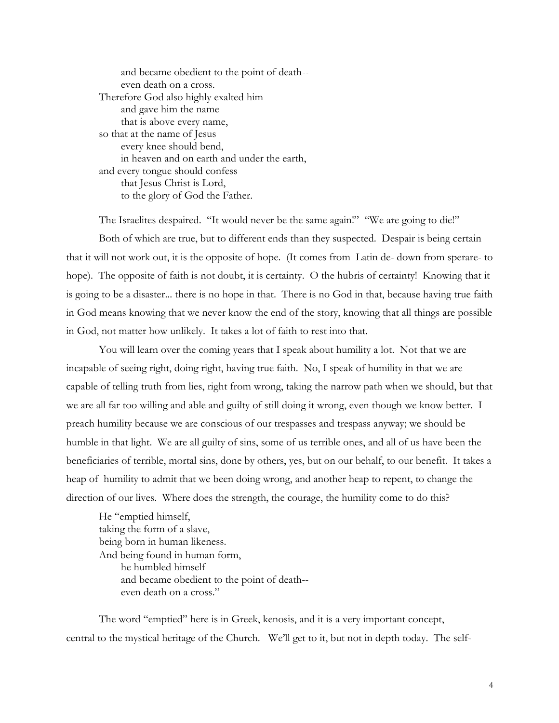| and became obedient to the point of death-- |
|---------------------------------------------|
| even death on a cross.                      |
| Therefore God also highly exalted him       |
| and gave him the name                       |
| that is above every name,                   |
| so that at the name of Jesus                |
| every knee should bend,                     |
| in heaven and on earth and under the earth, |
| and every tongue should confess             |
| that Jesus Christ is Lord,                  |
| to the glory of God the Father.             |
|                                             |

The Israelites despaired. "It would never be the same again!" "We are going to die!" Both of which are true, but to different ends than they suspected. Despair is being certain that it will not work out, it is the opposite of hope. (It comes from Latin de- down from sperare- to hope). The opposite of faith is not doubt, it is certainty. O the hubris of certainty! Knowing that it is going to be a disaster... there is no hope in that. There is no God in that, because having true faith in God means knowing that we never know the end of the story, knowing that all things are possible in God, not matter how unlikely. It takes a lot of faith to rest into that.

You will learn over the coming years that I speak about humility a lot. Not that we are incapable of seeing right, doing right, having true faith. No, I speak of humility in that we are capable of telling truth from lies, right from wrong, taking the narrow path when we should, but that we are all far too willing and able and guilty of still doing it wrong, even though we know better. I preach humility because we are conscious of our trespasses and trespass anyway; we should be humble in that light. We are all guilty of sins, some of us terrible ones, and all of us have been the beneficiaries of terrible, mortal sins, done by others, yes, but on our behalf, to our benefit. It takes a heap of humility to admit that we been doing wrong, and another heap to repent, to change the direction of our lives. Where does the strength, the courage, the humility come to do this?

He "emptied himself, taking the form of a slave, being born in human likeness. And being found in human form, he humbled himself and became obedient to the point of death- even death on a cross."

The word "emptied" here is in Greek, kenosis, and it is a very important concept, central to the mystical heritage of the Church. We'll get to it, but not in depth today. The self-